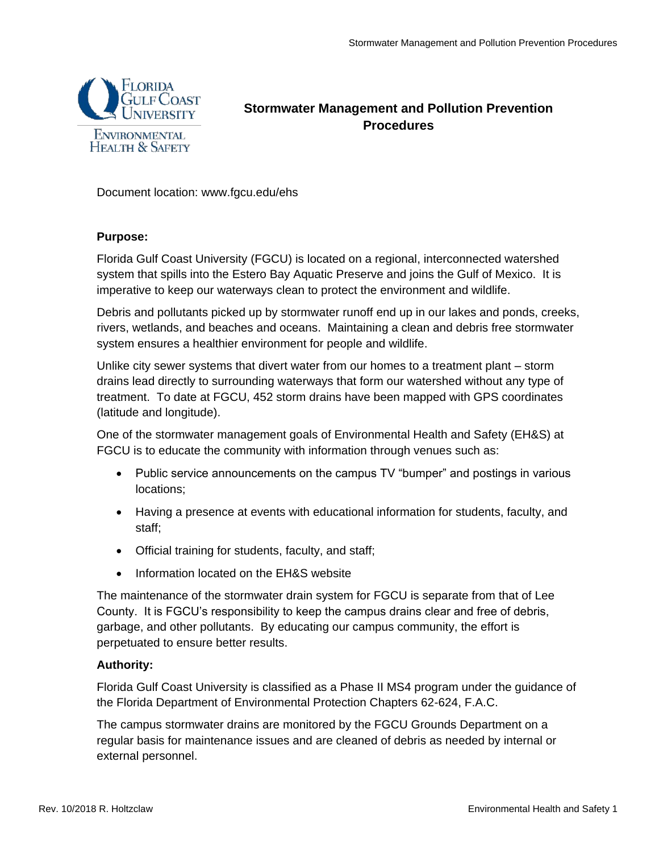

# **Stormwater Management and Pollution Prevention Procedures**

Document location: www.fgcu.edu/ehs

### **Purpose:**

Florida Gulf Coast University (FGCU) is located on a regional, interconnected watershed system that spills into the Estero Bay Aquatic Preserve and joins the Gulf of Mexico. It is imperative to keep our waterways clean to protect the environment and wildlife.

Debris and pollutants picked up by stormwater runoff end up in our lakes and ponds, creeks, rivers, wetlands, and beaches and oceans. Maintaining a clean and debris free stormwater system ensures a healthier environment for people and wildlife.

Unlike city sewer systems that divert water from our homes to a treatment plant – storm drains lead directly to surrounding waterways that form our watershed without any type of treatment. To date at FGCU, 452 storm drains have been mapped with GPS coordinates (latitude and longitude).

One of the stormwater management goals of Environmental Health and Safety (EH&S) at FGCU is to educate the community with information through venues such as:

- Public service announcements on the campus TV "bumper" and postings in various locations;
- Having a presence at events with educational information for students, faculty, and staff;
- Official training for students, faculty, and staff;
- Information located on the EH&S website

The maintenance of the stormwater drain system for FGCU is separate from that of Lee County. It is FGCU's responsibility to keep the campus drains clear and free of debris, garbage, and other pollutants. By educating our campus community, the effort is perpetuated to ensure better results.

## **Authority:**

Florida Gulf Coast University is classified as a Phase II MS4 program under the guidance of the Florida Department of Environmental Protection Chapters 62-624, F.A.C.

The campus stormwater drains are monitored by the FGCU Grounds Department on a regular basis for maintenance issues and are cleaned of debris as needed by internal or external personnel.